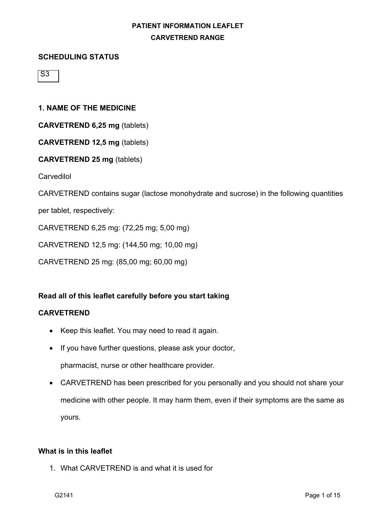### **SCHEDULING STATUS**

 $\overline{\mathsf{S}3}$ 

### **1. NAME OF THE MEDICINE**

**CARVETREND 6,25 mg** (tablets)

**CARVETREND 12,5 mg** (tablets)

### **CARVETREND 25 mg** (tablets)

**Carvedilol** 

CARVETREND contains sugar (lactose monohydrate and sucrose) in the following quantities

per tablet, respectively:

CARVETREND 6,25 mg: (72,25 mg; 5,00 mg)

CARVETREND 12,5 mg: (144,50 mg; 10,00 mg)

CARVETREND 25 mg: (85,00 mg; 60,00 mg)

## **Read all of this leaflet carefully before you start taking**

### **CARVETREND**

- Keep this leaflet. You may need to read it again.
- If you have further questions, please ask your doctor, pharmacist, nurse or other healthcare provider.
- CARVETREND has been prescribed for you personally and you should not share your medicine with other people. It may harm them, even if their symptoms are the same as yours.

### **What is in this leaflet**

1. What CARVETREND is and what it is used for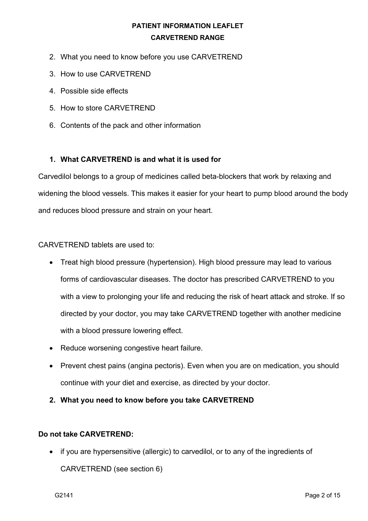- 2. What you need to know before you use CARVETREND
- 3. How to use CARVETREND
- 4. Possible side effects
- 5. How to store CARVETREND
- 6. Contents of the pack and other information

## **1. What CARVETREND is and what it is used for**

Carvedilol belongs to a group of medicines called beta-blockers that work by relaxing and widening the blood vessels. This makes it easier for your heart to pump blood around the body and reduces blood pressure and strain on your heart.

## CARVETREND tablets are used to:

- Treat high blood pressure (hypertension). High blood pressure may lead to various forms of cardiovascular diseases. The doctor has prescribed CARVETREND to you with a view to prolonging your life and reducing the risk of heart attack and stroke. If so directed by your doctor, you may take CARVETREND together with another medicine with a blood pressure lowering effect.
- Reduce worsening congestive heart failure.
- Prevent chest pains (angina pectoris). Even when you are on medication, you should continue with your diet and exercise, as directed by your doctor.
- **2. What you need to know before you take CARVETREND**

## **Do not take CARVETREND:**

• if you are hypersensitive (allergic) to carvedilol, or to any of the ingredients of CARVETREND (see section 6)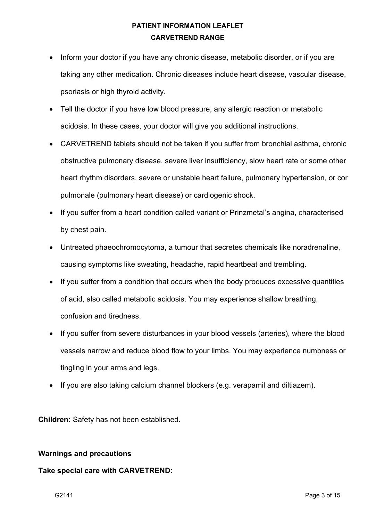- Inform your doctor if you have any chronic disease, metabolic disorder, or if you are taking any other medication. Chronic diseases include heart disease, vascular disease, psoriasis or high thyroid activity.
- Tell the doctor if you have low blood pressure, any allergic reaction or metabolic acidosis. In these cases, your doctor will give you additional instructions.
- CARVETREND tablets should not be taken if you suffer from bronchial asthma, chronic obstructive pulmonary disease, severe liver insufficiency, slow heart rate or some other heart rhythm disorders, severe or unstable heart failure, pulmonary hypertension, or cor pulmonale (pulmonary heart disease) or cardiogenic shock.
- If you suffer from a heart condition called variant or Prinzmetal's angina, characterised by chest pain.
- Untreated phaeochromocytoma, a tumour that secretes chemicals like noradrenaline, causing symptoms like sweating, headache, rapid heartbeat and trembling.
- If you suffer from a condition that occurs when the body produces excessive quantities of acid, also called metabolic acidosis. You may experience shallow breathing, confusion and tiredness.
- If you suffer from severe disturbances in your blood vessels (arteries), where the blood vessels narrow and reduce blood flow to your limbs. You may experience numbness or tingling in your arms and legs.
- If you are also taking calcium channel blockers (e.g. verapamil and diltiazem).

**Children:** Safety has not been established.

### **Warnings and precautions**

## **Take special care with CARVETREND:**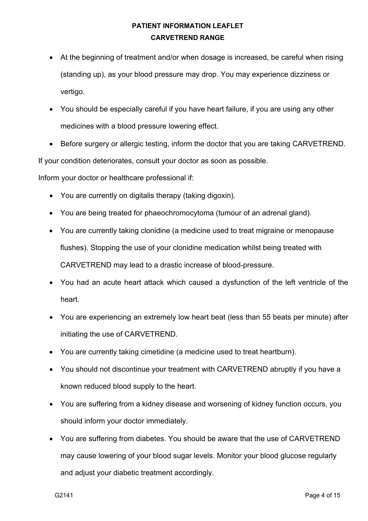- At the beginning of treatment and/or when dosage is increased, be careful when rising (standing up), as your blood pressure may drop. You may experience dizziness or vertigo.
- You should be especially careful if you have heart failure, if you are using any other medicines with a blood pressure lowering effect.
- Before surgery or allergic testing, inform the doctor that you are taking CARVETREND.

If your condition deteriorates, consult your doctor as soon as possible.

Inform your doctor or healthcare professional if:

- You are currently on digitalis therapy (taking digoxin).
- You are being treated for phaeochromocytoma (tumour of an adrenal gland).
- You are currently taking clonidine (a medicine used to treat migraine or menopause flushes). Stopping the use of your clonidine medication whilst being treated with CARVETREND may lead to a drastic increase of blood-pressure.
- You had an acute heart attack which caused a dysfunction of the left ventricle of the heart.
- You are experiencing an extremely low heart beat (less than 55 beats per minute) after initiating the use of CARVETREND.
- You are currently taking cimetidine (a medicine used to treat heartburn).
- You should not discontinue your treatment with CARVETREND abruptly if you have a known reduced blood supply to the heart.
- You are suffering from a kidney disease and worsening of kidney function occurs, you should inform your doctor immediately.
- You are suffering from diabetes. You should be aware that the use of CARVETREND may cause lowering of your blood sugar levels. Monitor your blood glucose regularly and adjust your diabetic treatment accordingly.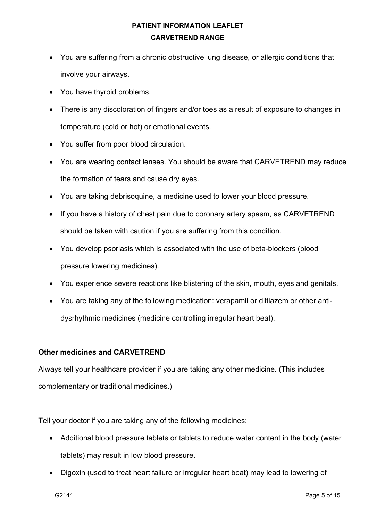- You are suffering from a chronic obstructive lung disease, or allergic conditions that involve your airways.
- You have thyroid problems.
- There is any discoloration of fingers and/or toes as a result of exposure to changes in temperature (cold or hot) or emotional events.
- You suffer from poor blood circulation.
- You are wearing contact lenses. You should be aware that CARVETREND may reduce the formation of tears and cause dry eyes.
- You are taking debrisoquine, a medicine used to lower your blood pressure.
- If you have a history of chest pain due to coronary artery spasm, as CARVETREND should be taken with caution if you are suffering from this condition.
- You develop psoriasis which is associated with the use of beta-blockers (blood pressure lowering medicines).
- You experience severe reactions like blistering of the skin, mouth, eyes and genitals.
- You are taking any of the following medication: verapamil or diltiazem or other antidysrhythmic medicines (medicine controlling irregular heart beat).

### **Other medicines and CARVETREND**

Always tell your healthcare provider if you are taking any other medicine. (This includes complementary or traditional medicines.)

Tell your doctor if you are taking any of the following medicines:

- Additional blood pressure tablets or tablets to reduce water content in the body (water tablets) may result in low blood pressure.
- Digoxin (used to treat heart failure or irregular heart beat) may lead to lowering of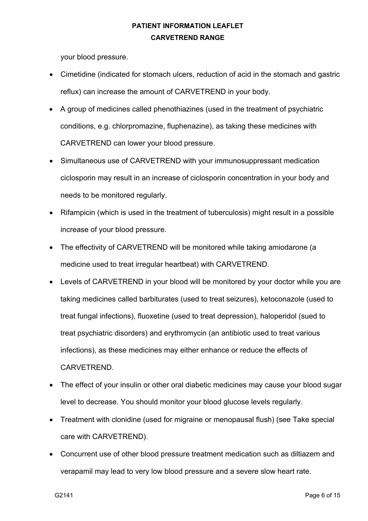your blood pressure.

- Cimetidine (indicated for stomach ulcers, reduction of acid in the stomach and gastric reflux) can increase the amount of CARVETREND in your body.
- A group of medicines called phenothiazines (used in the treatment of psychiatric conditions, e.g. chlorpromazine, fluphenazine), as taking these medicines with CARVETREND can lower your blood pressure.
- Simultaneous use of CARVETREND with your immunosuppressant medication ciclosporin may result in an increase of ciclosporin concentration in your body and needs to be monitored regularly.
- Rifampicin (which is used in the treatment of tuberculosis) might result in a possible increase of your blood pressure.
- The effectivity of CARVETREND will be monitored while taking amiodarone (a medicine used to treat irregular heartbeat) with CARVETREND.
- Levels of CARVETREND in your blood will be monitored by your doctor while you are taking medicines called barbiturates (used to treat seizures), ketoconazole (used to treat fungal infections), fluoxetine (used to treat depression), haloperidol (sued to treat psychiatric disorders) and erythromycin (an antibiotic used to treat various infections), as these medicines may either enhance or reduce the effects of CARVETREND.
- The effect of your insulin or other oral diabetic medicines may cause your blood sugar level to decrease. You should monitor your blood glucose levels regularly.
- Treatment with clonidine (used for migraine or menopausal flush) (see Take special care with CARVETREND).
- Concurrent use of other blood pressure treatment medication such as diltiazem and verapamil may lead to very low blood pressure and a severe slow heart rate.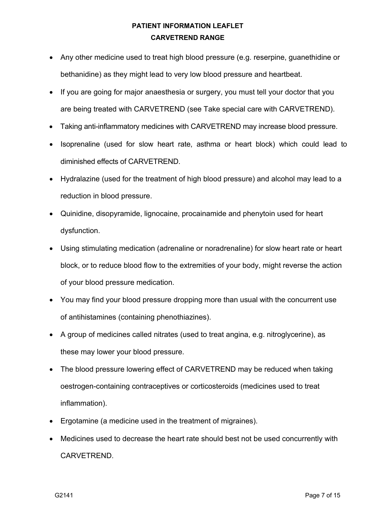- Any other medicine used to treat high blood pressure (e.g. reserpine, guanethidine or bethanidine) as they might lead to very low blood pressure and heartbeat.
- If you are going for major anaesthesia or surgery, you must tell your doctor that you are being treated with CARVETREND (see Take special care with CARVETREND).
- Taking anti-inflammatory medicines with CARVETREND may increase blood pressure.
- Isoprenaline (used for slow heart rate, asthma or heart block) which could lead to diminished effects of CARVETREND.
- Hydralazine (used for the treatment of high blood pressure) and alcohol may lead to a reduction in blood pressure.
- Quinidine, disopyramide, lignocaine, procainamide and phenytoin used for heart dysfunction.
- Using stimulating medication (adrenaline or noradrenaline) for slow heart rate or heart block, or to reduce blood flow to the extremities of your body, might reverse the action of your blood pressure medication.
- You may find your blood pressure dropping more than usual with the concurrent use of antihistamines (containing phenothiazines).
- A group of medicines called nitrates (used to treat angina, e.g. nitroglycerine), as these may lower your blood pressure.
- The blood pressure lowering effect of CARVETREND may be reduced when taking oestrogen-containing contraceptives or corticosteroids (medicines used to treat inflammation).
- Ergotamine (a medicine used in the treatment of migraines).
- Medicines used to decrease the heart rate should best not be used concurrently with CARVETREND.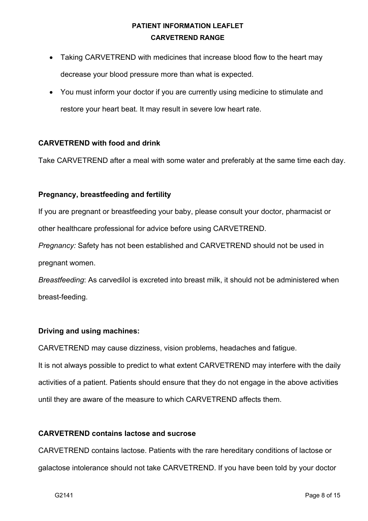- Taking CARVETREND with medicines that increase blood flow to the heart may decrease your blood pressure more than what is expected.
- You must inform your doctor if you are currently using medicine to stimulate and restore your heart beat. It may result in severe low heart rate.

## **CARVETREND with food and drink**

Take CARVETREND after a meal with some water and preferably at the same time each day.

## **Pregnancy, breastfeeding and fertility**

If you are pregnant or breastfeeding your baby, please consult your doctor, pharmacist or other healthcare professional for advice before using CARVETREND.

*Pregnancy:* Safety has not been established and CARVETREND should not be used in pregnant women.

*Breastfeeding*: As carvedilol is excreted into breast milk, it should not be administered when breast-feeding.

## **Driving and using machines:**

CARVETREND may cause dizziness, vision problems, headaches and fatigue.

It is not always possible to predict to what extent CARVETREND may interfere with the daily activities of a patient. Patients should ensure that they do not engage in the above activities until they are aware of the measure to which CARVETREND affects them.

## **CARVETREND contains lactose and sucrose**

CARVETREND contains lactose. Patients with the rare hereditary conditions of lactose or galactose intolerance should not take CARVETREND. If you have been told by your doctor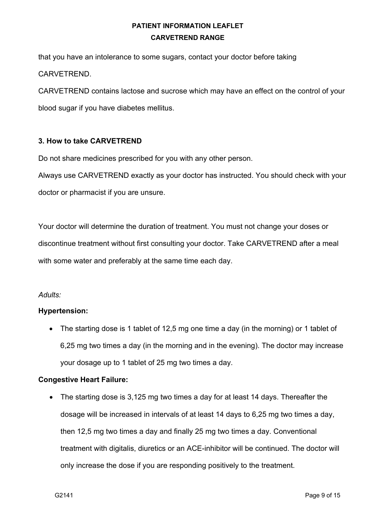that you have an intolerance to some sugars, contact your doctor before taking CARVETREND.

CARVETREND contains lactose and sucrose which may have an effect on the control of your blood sugar if you have diabetes mellitus.

### **3. How to take CARVETREND**

Do not share medicines prescribed for you with any other person.

Always use CARVETREND exactly as your doctor has instructed. You should check with your doctor or pharmacist if you are unsure.

Your doctor will determine the duration of treatment. You must not change your doses or discontinue treatment without first consulting your doctor. Take CARVETREND after a meal with some water and preferably at the same time each day.

### *Adults:*

### **Hypertension:**

• The starting dose is 1 tablet of 12.5 mg one time a day (in the morning) or 1 tablet of 6,25 mg two times a day (in the morning and in the evening). The doctor may increase your dosage up to 1 tablet of 25 mg two times a day.

### **Congestive Heart Failure:**

• The starting dose is 3,125 mg two times a day for at least 14 days. Thereafter the dosage will be increased in intervals of at least 14 days to 6,25 mg two times a day, then 12,5 mg two times a day and finally 25 mg two times a day. Conventional treatment with digitalis, diuretics or an ACE-inhibitor will be continued. The doctor will only increase the dose if you are responding positively to the treatment.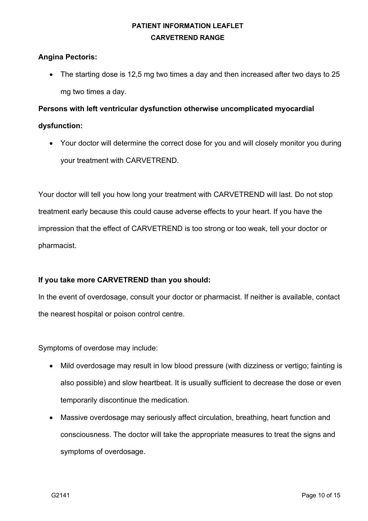### **Angina Pectoris:**

• The starting dose is 12,5 mg two times a day and then increased after two days to 25 mg two times a day.

### **Persons with left ventricular dysfunction otherwise uncomplicated myocardial**

### **dysfunction:**

• Your doctor will determine the correct dose for you and will closely monitor you during your treatment with CARVETREND.

Your doctor will tell you how long your treatment with CARVETREND will last. Do not stop treatment early because this could cause adverse effects to your heart. If you have the impression that the effect of CARVETREND is too strong or too weak, tell your doctor or pharmacist.

## **If you take more CARVETREND than you should:**

In the event of overdosage, consult your doctor or pharmacist. If neither is available, contact the nearest hospital or poison control centre.

Symptoms of overdose may include:

- Mild overdosage may result in low blood pressure (with dizziness or vertigo; fainting is also possible) and slow heartbeat. It is usually sufficient to decrease the dose or even temporarily discontinue the medication.
- Massive overdosage may seriously affect circulation, breathing, heart function and consciousness. The doctor will take the appropriate measures to treat the signs and symptoms of overdosage.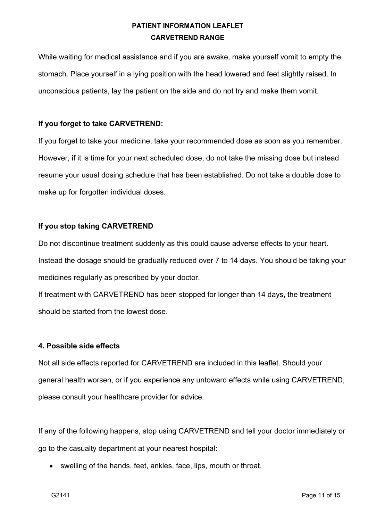While waiting for medical assistance and if you are awake, make yourself vomit to empty the stomach. Place yourself in a lying position with the head lowered and feet slightly raised. In unconscious patients, lay the patient on the side and do not try and make them vomit.

### **If you forget to take CARVETREND:**

If you forget to take your medicine, take your recommended dose as soon as you remember. However, if it is time for your next scheduled dose, do not take the missing dose but instead resume your usual dosing schedule that has been established. Do not take a double dose to make up for forgotten individual doses.

### **If you stop taking CARVETREND**

Do not discontinue treatment suddenly as this could cause adverse effects to your heart. Instead the dosage should be gradually reduced over 7 to 14 days. You should be taking your medicines regularly as prescribed by your doctor.

If treatment with CARVETREND has been stopped for longer than 14 days, the treatment should be started from the lowest dose.

### **4. Possible side effects**

Not all side effects reported for CARVETREND are included in this leaflet. Should your general health worsen, or if you experience any untoward effects while using CARVETREND, please consult your healthcare provider for advice.

If any of the following happens, stop using CARVETREND and tell your doctor immediately or go to the casualty department at your nearest hospital:

• swelling of the hands, feet, ankles, face, lips, mouth or throat,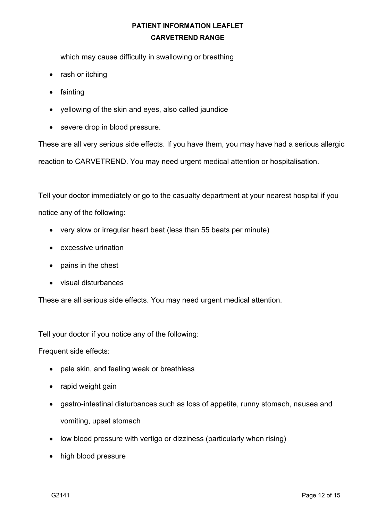which may cause difficulty in swallowing or breathing

- rash or itching
- fainting
- yellowing of the skin and eyes, also called jaundice
- severe drop in blood pressure.

These are all very serious side effects. If you have them, you may have had a serious allergic reaction to CARVETREND. You may need urgent medical attention or hospitalisation.

Tell your doctor immediately or go to the casualty department at your nearest hospital if you notice any of the following:

- very slow or irregular heart beat (less than 55 beats per minute)
- excessive urination
- pains in the chest
- visual disturbances

These are all serious side effects. You may need urgent medical attention.

Tell your doctor if you notice any of the following:

Frequent side effects:

- pale skin, and feeling weak or breathless
- rapid weight gain
- gastro-intestinal disturbances such as loss of appetite, runny stomach, nausea and vomiting, upset stomach
- low blood pressure with vertigo or dizziness (particularly when rising)
- high blood pressure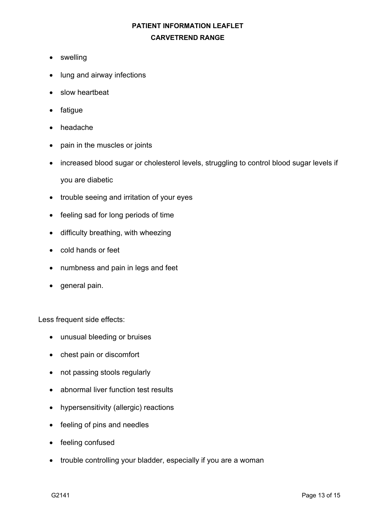- swelling
- lung and airway infections
- slow heartbeat
- fatigue
- headache
- pain in the muscles or joints
- increased blood sugar or cholesterol levels, struggling to control blood sugar levels if you are diabetic
- trouble seeing and irritation of your eyes
- feeling sad for long periods of time
- difficulty breathing, with wheezing
- cold hands or feet
- numbness and pain in legs and feet
- general pain.

Less frequent side effects:

- unusual bleeding or bruises
- chest pain or discomfort
- not passing stools regularly
- abnormal liver function test results
- hypersensitivity (allergic) reactions
- feeling of pins and needles
- feeling confused
- trouble controlling your bladder, especially if you are a woman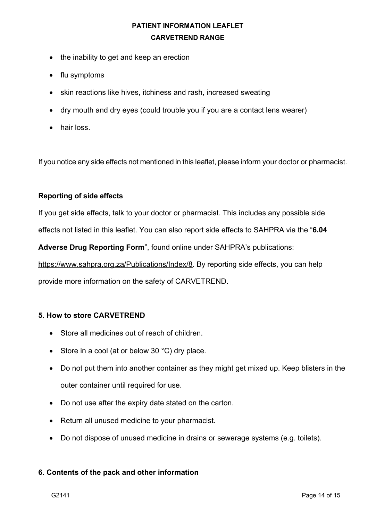- the inability to get and keep an erection
- flu symptoms
- skin reactions like hives, itchiness and rash, increased sweating
- dry mouth and dry eyes (could trouble you if you are a contact lens wearer)
- hair loss.

If you notice any side effects not mentioned in this leaflet, please inform your doctor or pharmacist.

### **Reporting of side effects**

If you get side effects, talk to your doctor or pharmacist. This includes any possible side effects not listed in this leaflet. You can also report side effects to SAHPRA via the "**6.04** 

**Adverse Drug Reporting Form**", found online under SAHPRA's publications:

https://www.sahpra.org.za/Publications/Index/8. By reporting side effects, you can help

provide more information on the safety of CARVETREND.

### **5. How to store CARVETREND**

- Store all medicines out of reach of children.
- Store in a cool (at or below 30 °C) dry place.
- Do not put them into another container as they might get mixed up. Keep blisters in the outer container until required for use.
- Do not use after the expiry date stated on the carton.
- Return all unused medicine to your pharmacist.
- Do not dispose of unused medicine in drains or sewerage systems (e.g. toilets).

### **6. Contents of the pack and other information**